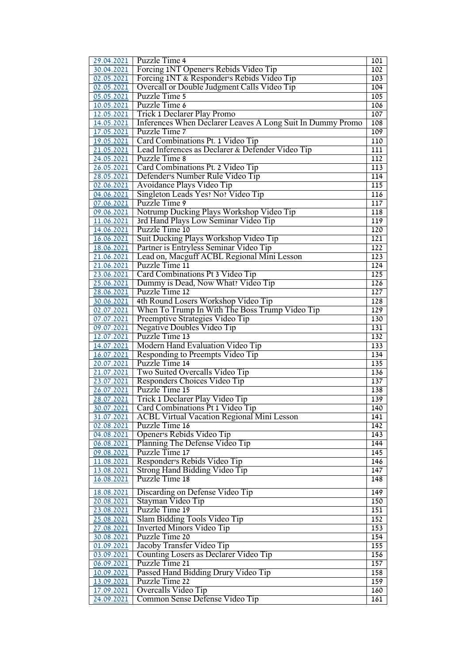| 29.04.2021 | Puzzle Time 4                                              | 101 |
|------------|------------------------------------------------------------|-----|
| 30.04.2021 | Forcing 1NT Opener's Rebids Video Tip                      | 102 |
| 02.05.2021 | Forcing 1NT & Responder's Rebids Video Tip                 | 103 |
| 02.05.2021 | Overcall or Double Judgment Calls Video Tip                | 104 |
| 05.05.2021 | <b>Puzzle Time 5</b>                                       | 105 |
| 10.05.2021 | Puzzle Time 6                                              | 106 |
| 12.05.2021 | <b>Trick 1 Declarer Play Promo</b>                         | 107 |
| 14.05.2021 | Inferences When Declarer Leaves A Long Suit In Dummy Promo | 108 |
| 17.05.2021 | Puzzle Time 7                                              | 109 |
| 19.05.2021 | Card Combinations Pt. 1 Video Tip                          | 110 |
| 21.05.2021 | Lead Inferences as Declarer & Defender Video Tip           | 111 |
| 24.05.2021 | Puzzle Time 8                                              | 112 |
| 26.05.2021 | Card Combinations Pt. 2 Video Tip                          | 113 |
| 28.05.2021 | Defender's Number Rule Video Tip                           | 114 |
| 02.06.2021 | Avoidance Plays Video Tip                                  | 115 |
| 04.06.2021 | Singleton Leads Yes! No! Video Tip                         | 116 |
| 07.06.2021 | Puzzle Time 9                                              | 117 |
| 09.06.2021 | Notrump Ducking Plays Workshop Video Tip                   | 118 |
| 11.06.2021 | 3rd Hand Plays Low Seminar Video Tip                       | 119 |
| 14.06.2021 | Puzzle Time 10                                             | 120 |
| 16.06.2021 | Suit Ducking Plays Workshop Video Tip                      | 121 |
| 18.06.2021 | Partner is Entryless Seminar Video Tip                     | 122 |
| 21.06.2021 | Lead on, Macguff ACBL Regional Mini Lesson                 | 123 |
| 21.06.2021 | Puzzle Time 11                                             | 124 |
| 23.06.2021 | Card Combinations Pt 3 Video Tip                           | 125 |
| 25.06.2021 | Dummy is Dead, Now What? Video Tip                         | 126 |
| 28.06.2021 | Puzzle Time 12                                             | 127 |
| 30.06.2021 | 4th Round Losers Workshop Video Tip                        | 128 |
| 02.07.2021 | When To Trump In With The Boss Trump Video Tip             | 129 |
| 07.07.2021 | Preemptive Strategies Video Tip                            | 130 |
| 09.07.2021 | <b>Negative Doubles Video Tip</b>                          | 131 |
| 12.07.2021 | Puzzle Time 13                                             | 132 |
| 14.07.2021 | Modern Hand Evaluation Video Tip                           | 133 |
| 16.07.2021 | Responding to Preempts Video Tip                           | 134 |
| 20.07.2021 | Puzzle Time 14                                             | 135 |
| 21.07.2021 | Two Suited Overcalls Video Tip                             | 136 |
| 23.07.2021 | Responders Choices Video Tip                               | 137 |
| 26.07.2021 | Puzzle Time 15                                             | 138 |
| 28.07.2021 | Trick 1 Declarer Play Video Tip                            | 139 |
| 30.07.2021 | Card Combinations Pt 1 Video Tip                           | 140 |
| 31.07.2021 | <b>ACBL Virtual Vacation Regional Mini Lesson</b>          | 141 |
| 02.08.2021 | Puzzle Time 16                                             | 142 |
| 04.08.2021 | Opener's Rebids Video Tip                                  | 143 |
| 06.08.2021 | Planning The Defense Video Tip                             | 144 |
| 09.08.2021 | Puzzle Time 17                                             | 145 |
| 11.08.2021 | Responder's Rebids Video Tip                               | 146 |
| 13.08.2021 | <b>Strong Hand Bidding Video Tip</b>                       | 147 |
| 16.08.2021 | Puzzle Time 18                                             | 148 |
|            |                                                            |     |
| 18.08.2021 | Discarding on Defense Video Tip                            | 149 |
| 20.08.2021 | Stayman Video Tip                                          | 150 |
| 23.08.2021 | Puzzle Time 19                                             | 151 |
| 25.08.2021 | Slam Bidding Tools Video Tip                               | 152 |
| 27.08.2021 | <b>Inverted Minors Video Tip</b>                           | 153 |
| 30.08.2021 | Puzzle Time 20                                             | 154 |
| 01.09.2021 | Jacoby Transfer Video Tip                                  | 155 |
| 03.09.2021 | Counting Losers as Declarer Video Tip                      | 156 |
| 06.09.2021 | Puzzle Time 21                                             | 157 |
| 10.09.2021 | Passed Hand Bidding Drury Video Tip                        | 158 |
| 13.09.2021 | <b>Puzzle Time 22</b>                                      | 159 |
| 17.09.2021 | Overcalls Video Tip                                        | 160 |
| 24.09.2021 | Common Sense Defense Video Tip                             | 161 |